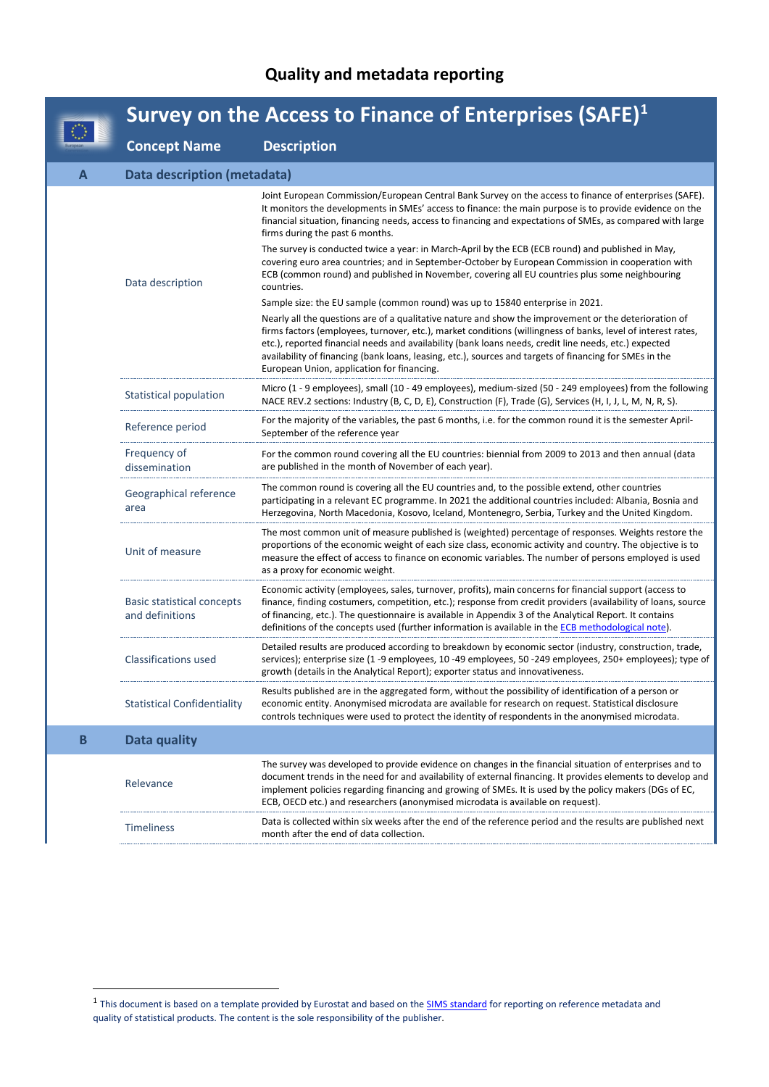## **Quality and metadata reporting**

|             | Survey on the Access to Finance of Enterprises (SAFE) $1$ |                                                                                                                                                                                                                                                                                                                                                                                                                                                                                         |  |
|-------------|-----------------------------------------------------------|-----------------------------------------------------------------------------------------------------------------------------------------------------------------------------------------------------------------------------------------------------------------------------------------------------------------------------------------------------------------------------------------------------------------------------------------------------------------------------------------|--|
|             | <b>Concept Name</b>                                       | <b>Description</b>                                                                                                                                                                                                                                                                                                                                                                                                                                                                      |  |
| A           | Data description (metadata)                               |                                                                                                                                                                                                                                                                                                                                                                                                                                                                                         |  |
|             |                                                           | Joint European Commission/European Central Bank Survey on the access to finance of enterprises (SAFE).<br>It monitors the developments in SMEs' access to finance: the main purpose is to provide evidence on the<br>financial situation, financing needs, access to financing and expectations of SMEs, as compared with large<br>firms during the past 6 months.                                                                                                                      |  |
|             | Data description                                          | The survey is conducted twice a year: in March-April by the ECB (ECB round) and published in May,<br>covering euro area countries; and in September-October by European Commission in cooperation with<br>ECB (common round) and published in November, covering all EU countries plus some neighbouring<br>countries.                                                                                                                                                                  |  |
|             |                                                           | Sample size: the EU sample (common round) was up to 15840 enterprise in 2021.                                                                                                                                                                                                                                                                                                                                                                                                           |  |
|             |                                                           | Nearly all the questions are of a qualitative nature and show the improvement or the deterioration of<br>firms factors (employees, turnover, etc.), market conditions (willingness of banks, level of interest rates,<br>etc.), reported financial needs and availability (bank loans needs, credit line needs, etc.) expected<br>availability of financing (bank loans, leasing, etc.), sources and targets of financing for SMEs in the<br>European Union, application for financing. |  |
|             | Statistical population                                    | Micro (1 - 9 employees), small (10 - 49 employees), medium-sized (50 - 249 employees) from the following<br>NACE REV.2 sections: Industry (B, C, D, E), Construction (F), Trade (G), Services (H, I, J, L, M, N, R, S).                                                                                                                                                                                                                                                                 |  |
|             | Reference period                                          | For the majority of the variables, the past 6 months, i.e. for the common round it is the semester April-<br>September of the reference year                                                                                                                                                                                                                                                                                                                                            |  |
|             | Frequency of<br>dissemination                             | For the common round covering all the EU countries: biennial from 2009 to 2013 and then annual (data<br>are published in the month of November of each year).                                                                                                                                                                                                                                                                                                                           |  |
|             | Geographical reference<br>area                            | The common round is covering all the EU countries and, to the possible extend, other countries<br>participating in a relevant EC programme. In 2021 the additional countries included: Albania, Bosnia and<br>Herzegovina, North Macedonia, Kosovo, Iceland, Montenegro, Serbia, Turkey and the United Kingdom.                                                                                                                                                                         |  |
|             | Unit of measure                                           | The most common unit of measure published is (weighted) percentage of responses. Weights restore the<br>proportions of the economic weight of each size class, economic activity and country. The objective is to<br>measure the effect of access to finance on economic variables. The number of persons employed is used<br>as a proxy for economic weight.                                                                                                                           |  |
|             | Basic statistical concepts<br>and definitions             | Economic activity (employees, sales, turnover, profits), main concerns for financial support (access to<br>finance, finding costumers, competition, etc.); response from credit providers (availability of loans, source<br>of financing, etc.). The questionnaire is available in Appendix 3 of the Analytical Report. It contains<br>definitions of the concepts used (further information is available in the ECB methodological note).                                              |  |
|             | <b>Classifications used</b>                               | Detailed results are produced according to breakdown by economic sector (industry, construction, trade,<br>services); enterprise size (1 -9 employees, 10 -49 employees, 50 -249 employees, 250+ employees); type of<br>growth (details in the Analytical Report); exporter status and innovativeness.                                                                                                                                                                                  |  |
|             | <b>Statistical Confidentiality</b>                        | Results published are in the aggregated form, without the possibility of identification of a person or<br>economic entity. Anonymised microdata are available for research on request. Statistical disclosure<br>controls techniques were used to protect the identity of respondents in the anonymised microdata.                                                                                                                                                                      |  |
| $\mathbf B$ | Data quality                                              |                                                                                                                                                                                                                                                                                                                                                                                                                                                                                         |  |
|             | Relevance                                                 | The survey was developed to provide evidence on changes in the financial situation of enterprises and to<br>document trends in the need for and availability of external financing. It provides elements to develop and<br>implement policies regarding financing and growing of SMEs. It is used by the policy makers (DGs of EC,<br>ECB, OECD etc.) and researchers (anonymised microdata is available on request).                                                                   |  |
|             | <b>Timeliness</b>                                         | Data is collected within six weeks after the end of the reference period and the results are published next<br>month after the end of data collection.                                                                                                                                                                                                                                                                                                                                  |  |
|             |                                                           |                                                                                                                                                                                                                                                                                                                                                                                                                                                                                         |  |

<span id="page-0-0"></span><sup>&</sup>lt;sup>1</sup> This document is based on a template provided by Eurostat and based on the **SIMS standard** for reporting on reference metadata and quality of statistical products. The content is the sole responsibility of the publisher.